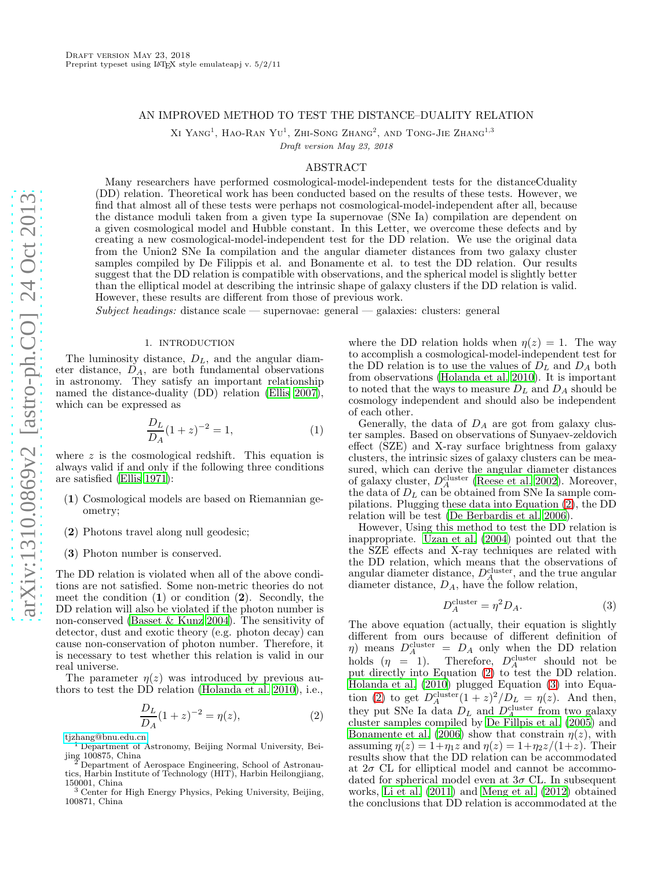# AN IMPROVED METHOD TO TEST THE DISTANCE–DUALITY RELATION

XI YANG<sup>1</sup>, HAO-RAN YU<sup>1</sup>, ZHI-SONG ZHANG<sup>2</sup>, AND TONG-JIE ZHANG<sup>1,3</sup>

Draft version May 23, 2018

## ABSTRACT

Many researchers have performed cosmological-model-independent tests for the distanceCduality (DD) relation. Theoretical work has been conducted based on the results of these tests. However, we find that almost all of these tests were perhaps not cosmological-model-independent after all, because the distance moduli taken from a given type Ia supernovae (SNe Ia) compilation are dependent on a given cosmological model and Hubble constant. In this Letter, we overcome these defects and by creating a new cosmological-model-independent test for the DD relation. We use the original data from the Union2 SNe Ia compilation and the angular diameter distances from two galaxy cluster samples compiled by De Filippis et al. and Bonamente et al. to test the DD relation. Our results suggest that the DD relation is compatible with observations, and the spherical model is slightly better than the elliptical model at describing the intrinsic shape of galaxy clusters if the DD relation is valid. However, these results are different from those of previous work.

Subject headings: distance scale — supernovae: general — galaxies: clusters: general

## 1. INTRODUCTION

The luminosity distance,  $D<sub>L</sub>$ , and the angular diameter distance,  $D_A$ , are both fundamental observations in astronomy. They satisfy an important relationship named the distance-duality (DD) relation [\(Ellis 2007\)](#page-4-0), which can be expressed as

<span id="page-0-2"></span>
$$
\frac{D_L}{D_A}(1+z)^{-2} = 1,\t\t(1)
$$

where  $z$  is the cosmological redshift. This equation is always valid if and only if the following three conditions are satisfied [\(Ellis 1971\)](#page-4-1):

- (1) Cosmological models are based on Riemannian geometry;
- (2) Photons travel along null geodesic;
- (3) Photon number is conserved.

The DD relation is violated when all of the above conditions are not satisfied. Some non-metric theories do not meet the condition  $(1)$  or condition  $(2)$ . Secondly, the DD relation will also be violated if the photon number is non-conserved [\(Basset & Kunz 2004\)](#page-4-2). The sensitivity of detector, dust and exotic theory (e.g. photon decay) can cause non-conservation of photon number. Therefore, it is necessary to test whether this relation is valid in our real universe.

The parameter  $n(z)$  was introduced by previous authors to test the DD relation [\(Holanda et al. 2010\)](#page-4-3), i.e.,

<span id="page-0-0"></span>
$$
\frac{D_L}{D_A}(1+z)^{-2} = \eta(z),\tag{2}
$$

[tjzhang@bnu.edu.cn](mailto:tjzhang@bnu.edu.cn)

<sup>1</sup> Department of Astronomy, Beijing Normal University, Beijing 100875, China

where the DD relation holds when  $\eta(z) = 1$ . The way to accomplish a cosmological-model-independent test for the DD relation is to use the values of  $D<sub>L</sub>$  and  $D<sub>A</sub>$  both from observations [\(Holanda et al. 2010\)](#page-4-3). It is important to noted that the ways to measure  $D<sub>L</sub>$  and  $D<sub>A</sub>$  should be cosmology independent and should also be independent of each other.

Generally, the data of  $D_A$  are got from galaxy cluster samples. Based on observations of Sunyaev-zeldovich effect (SZE) and X-ray surface brightness from galaxy clusters, the intrinsic sizes of galaxy clusters can be measured, which can derive the angular diameter distances of galaxy cluster,  $D_A^{\text{cluster}}$  [\(Reese et al. 2002\)](#page-4-4). Moreover, the data of  $D_L$  can be obtained from SNe Ia sample compilations. Plugging these data into Equation [\(2\)](#page-0-0), the DD relation will be test [\(De Berbardis et al. 2006\)](#page-4-5).

However, Using this method to test the DD relation is inappropriate. [Uzan et al. \(2004](#page-4-6)) pointed out that the the SZE effects and X-ray techniques are related with the DD relation, which means that the observations of angular diameter distance,  $D_A^{\text{cluster}}$ , and the true angular diameter distance,  $D_A$ , have the follow relation,

<span id="page-0-1"></span>
$$
D_A^{\text{cluster}} = \eta^2 D_A. \tag{3}
$$

The above equation (actually, their equation is slightly different from ours because of different definition of  $\eta$ ) means  $D_A^{\text{cluster}} = D_A$  only when the DD relation holds  $(\eta = 1)$ . Therefore,  $D_A^{\text{cluster}}$  should not be put directly into Equation  $(2)$  to test the DD relation. [Holanda et al. \(2010\)](#page-4-3) plugged Equation [\(3\)](#page-0-1) into Equa-tion [\(2\)](#page-0-0) to get  $D_A^{\text{cluster}}(1+z)^2/D_L = \eta(z)$ . And then, they put SNe Ia data  $D_L$  and  $D_A^{\text{cluster}}$  from two galaxy cluster samples compiled by [De Fillpis et al. \(2005\)](#page-4-7) and [Bonamente et al. \(2006\)](#page-4-8) show that constrain  $\eta(z)$ , with assuming  $\eta(z) = 1 + \eta_1 z$  and  $\eta(z) = 1 + \eta_2 z/(1+z)$ . Their results show that the DD relation can be accommodated at  $2\sigma$  CL for elliptical model and cannot be accommodated for spherical model even at  $3\sigma$  CL. In subsequent works, [Li et al. \(2011\)](#page-4-9) and [Meng et al. \(2012\)](#page-4-10) obtained the conclusions that DD relation is accommodated at the

Department of Aerospace Engineering, School of Astronautics, Harbin Institute of Technology (HIT), Harbin Heilongjiang,

<sup>150001,</sup> China <sup>3</sup> Center for High Energy Physics, Peking University, Beijing, 100871, China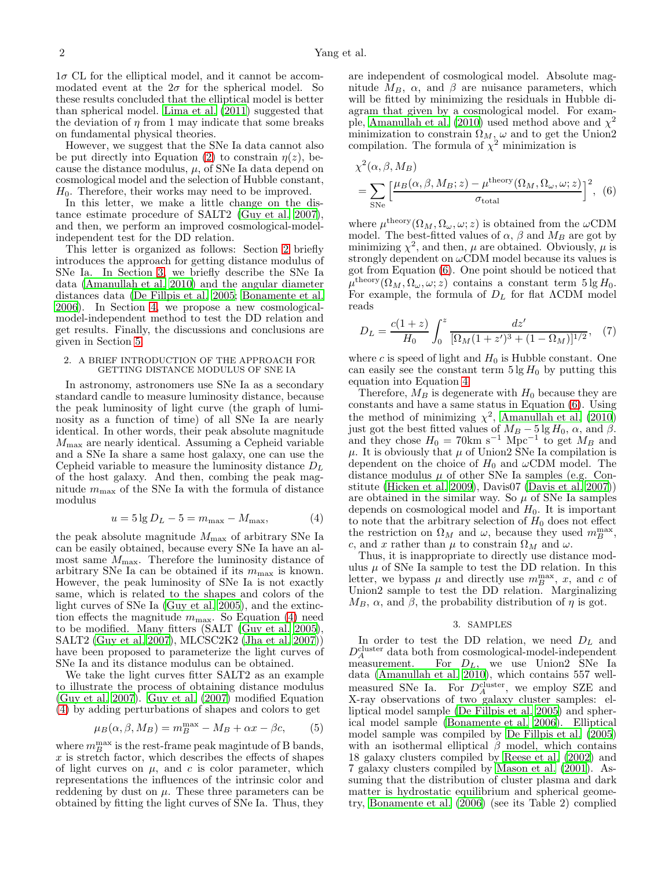$1\sigma$  CL for the elliptical model, and it cannot be accommodated event at the  $2\sigma$  for the spherical model. So these results concluded that the elliptical model is better than spherical model. [Lima et al. \(2011\)](#page-4-11) suggested that the deviation of  $\eta$  from 1 may indicate that some breaks on fundamental physical theories.

However, we suggest that the SNe Ia data cannot also be put directly into Equation [\(2\)](#page-0-0) to constrain  $\eta(z)$ , because the distance modulus,  $\mu$ , of SNe Ia data depend on cosmological model and the selection of Hubble constant,  $H_0$ . Therefore, their works may need to be improved.

In this letter, we make a little change on the distance estimate procedure of SALT2 [\(Guy et al. 2007\)](#page-4-12), and then, we perform an improved cosmological-modelindependent test for the DD relation.

This letter is organized as follows: Section [2](#page-1-0) briefly introduces the approach for getting distance modulus of SNe Ia. In Section [3,](#page-1-1) we briefly describe the SNe Ia data [\(Amanullah et al. 2010\)](#page-4-13) and the angular diameter distances data [\(De Fillpis et al. 2005;](#page-4-7) [Bonamente et al.](#page-4-8) [2006\)](#page-4-8). In Section [4,](#page-2-0) we propose a new cosmologicalmodel-independent method to test the DD relation and get results. Finally, the discussions and conclusions are given in Section [5.](#page-3-0)

### <span id="page-1-0"></span>2. A BRIEF INTRODUCTION OF THE APPROACH FOR GETTING DISTANCE MODULUS OF SNE IA

In astronomy, astronomers use SNe Ia as a secondary standard candle to measure luminosity distance, because the peak luminosity of light curve (the graph of luminosity as a function of time) of all SNe Ia are nearly identical. In other words, their peak absolute magnitude  $M_{\text{max}}$  are nearly identical. Assuming a Cepheid variable and a SNe Ia share a same host galaxy, one can use the Cepheid variable to measure the luminosity distance  $D<sub>L</sub>$ of the host galaxy. And then, combing the peak magnitude  $m_{\text{max}}$  of the SNe Ia with the formula of distance modulus

<span id="page-1-2"></span>
$$
u = 5 \lg D_L - 5 = m_{\text{max}} - M_{\text{max}}, \tag{4}
$$

the peak absolute magnitude  $M_{\text{max}}$  of arbitrary SNe Ia can be easily obtained, because every SNe Ia have an almost same  $M_{\text{max}}$ . Therefore the luminosity distance of arbitrary SNe Ia can be obtained if its  $m_{\text{max}}$  is known. However, the peak luminosity of SNe Ia is not exactly same, which is related to the shapes and colors of the light curves of SNe Ia [\(Guy et al. 2005](#page-4-14)), and the extinction effects the magnitude  $m_{\text{max}}$ . So Equation [\(4\)](#page-1-2) need to be modified. Many fitters (SALT [\(Guy et al. 2005\)](#page-4-14), SALT2 [\(Guy et al. 2007\)](#page-4-12), MLCSC2K2 [\(Jha et al. 2007\)](#page-4-15)) have been proposed to parameterize the light curves of SNe Ia and its distance modulus can be obtained.

We take the light curves fitter SALT2 as an example to illustrate the process of obtaining distance modulus [\(Guy et al. 2007\)](#page-4-12). [Guy et al. \(2007\)](#page-4-12) modified Equation [\(4\)](#page-1-2) by adding perturbations of shapes and colors to get

<span id="page-1-4"></span>
$$
\mu_B(\alpha, \beta, M_B) = m_B^{\text{max}} - M_B + \alpha x - \beta c, \qquad (5)
$$

where  $m_B^{\text{max}}$  is the rest-frame peak magintude of B bands,  $x$  is stretch factor, which describes the effects of shapes of light curves on  $\mu$ , and c is color parameter, which representations the influences of the intrinsic color and reddening by dust on  $\mu$ . These three parameters can be obtained by fitting the light curves of SNe Ia. Thus, they

are independent of cosmological model. Absolute magnitude  $M_B$ ,  $\alpha$ , and  $\beta$  are nuisance parameters, which will be fitted by minimizing the residuals in Hubble diagram that given by a cosmological model. For exam-ple, [Amanullah et al. \(2010\)](#page-4-13) used method above and  $\chi^2$ minimization to constrain  $\Omega_M$ ,  $\omega$  and to get the Union2 compilation. The formula of  $\chi^2$  minimization is

<span id="page-1-3"></span>
$$
\chi^2(\alpha, \beta, M_B)
$$
  
= 
$$
\sum_{\text{SNe}} \left[ \frac{\mu_B(\alpha, \beta, M_B; z) - \mu^{\text{theory}}(\Omega_M, \Omega_\omega, \omega; z)}{\sigma_{\text{total}}} \right]^2, (6)
$$

where  $\mu^{\text{theory}}(\Omega_M, \Omega_\omega, \omega; z)$  is obtained from the  $\omega$ CDM model. The best-fitted values of  $\alpha$ ,  $\beta$  and  $M_B$  are got by minimizing  $\chi^2$ , and then,  $\mu$  are obtained. Obviously,  $\mu$  is strongly dependent on  $\omega$ CDM model because its values is got from Equation [\(6\)](#page-1-3). One point should be noticed that  $\mu^{\text{theory}}(\Omega_M, \Omega_\omega, \omega; z)$  contains a constant term  $5 \lg H_0$ . For example, the formula of  $D_L$  for flat  $\Lambda$ CDM model reads

$$
D_L = \frac{c(1+z)}{H_0} \int_0^z \frac{dz'}{[\Omega_M(1+z')^3 + (1-\Omega_M)]^{1/2}}, \quad (7)
$$

where c is speed of light and  $H_0$  is Hubble constant. One can easily see the constant term  $5 \lg H_0$  by putting this equation into Equation [4.](#page-1-2)

Therefore,  $M_B$  is degenerate with  $H_0$  because they are constants and have a same status in Equation [\(6\)](#page-1-3). Using the method of minimizing  $\chi^2$ , [Amanullah et al. \(2010](#page-4-13)) just got the best fitted values of  $M_B - 5 \lg H_0$ ,  $\alpha$ , and  $\beta$ .<br>and they chose  $H_0 = 70 \text{km s}^{-1} \text{ Mpc}^{-1}$  to get  $M_B$  and  $\mu$ . It is obviously that  $\mu$  of Union is SNe Ia compilation is dependent on the choice of  $H_0$  and  $\omega$ CDM model. The distance modulus  $\mu$  of other SNe Ia samples (e.g. Constitute [\(Hicken et al. 2009\)](#page-4-16), Davis07 [\(Davis et al. 2007](#page-4-17))) are obtained in the similar way. So  $\mu$  of SNe Ia samples depends on cosmological model and  $H_0$ . It is important to note that the arbitrary selection of  $H_0$  does not effect the restriction on  $\Omega_M$  and  $\omega$ , because they used  $m_B^{\text{max}}$ , c, and x rather than  $\mu$  to constrain  $\Omega_M$  and  $\omega$ .

Thus, it is inappropriate to directly use distance modulus  $\mu$  of SNe Ia sample to test the DD relation. In this letter, we bypass  $\mu$  and directly use  $m_B^{\max}$ , x, and c of Union2 sample to test the DD relation. Marginalizing  $M_B$ ,  $\alpha$ , and  $\beta$ , the probability distribution of  $\eta$  is got.

#### 3. SAMPLES

<span id="page-1-1"></span>In order to test the DD relation, we need  $D<sub>L</sub>$  and  $D_A^{\text{cluster}}$  data both from cosmological-model-independent measurement. For  $D_L$ , we use Union SNe Ia data [\(Amanullah et al. 2010](#page-4-13)), which contains 557 wellmeasured SNe Ia. For  $D_A^{\text{cluster}}$ , we employ SZE and X-ray observations of two galaxy cluster samples: elliptical model sample [\(De Fillpis et al. 2005\)](#page-4-7) and spherical model sample [\(Bonamente et al. 2006\)](#page-4-8). Elliptical model sample was compiled by [De Fillpis et al. \(2005](#page-4-7)) with an isothermal elliptical  $\beta$  model, which contains 18 galaxy clusters compiled by [Reese et al. \(2002\)](#page-4-4) and 7 galaxy clusters compiled by [Mason et al. \(2001](#page-4-18)). Assuming that the distribution of cluster plasma and dark matter is hydrostatic equilibrium and spherical geometry, [Bonamente et al. \(2006\)](#page-4-8) (see its Table 2) complied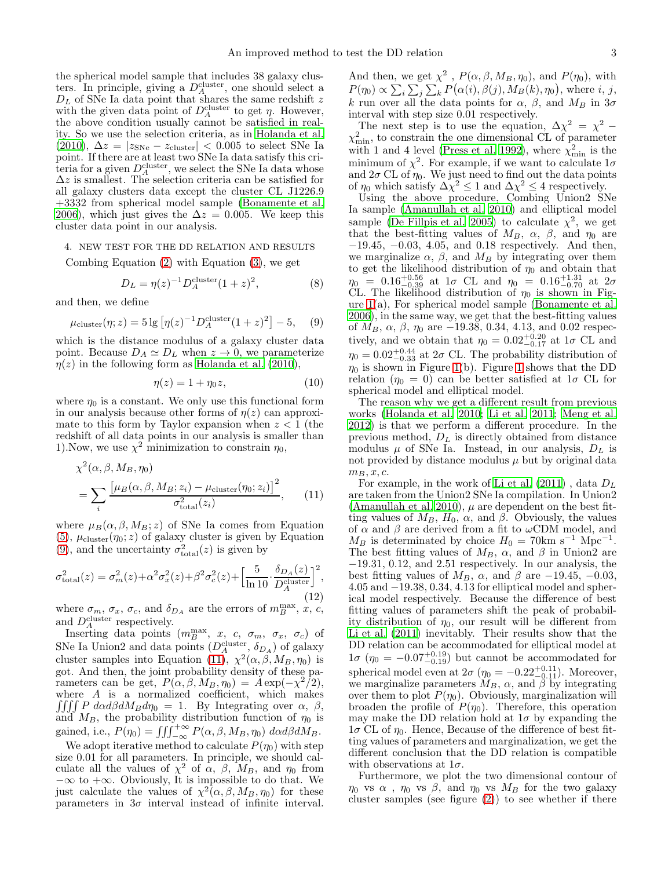the spherical model sample that includes 38 galaxy clusters. In principle, giving a  $D_A^{\text{cluster}}$ , one should select a  $D<sub>L</sub>$  of SNe Ia data point that shares the same redshift z with the given data point of  $D_A^{\text{cluster}}$  to get  $\eta$ . However, the above condition usually cannot be satisfied in reality. So we use the selection criteria, as in [Holanda et al.](#page-4-3) [\(2010\)](#page-4-3),  $\Delta z = |z_{SNe} - z_{cluster}| < 0.005$  to select SNe Ia point. If there are at least two SNe Ia data satisfy this criteria for a given  $D_A^{\text{cluster}}$ , we select the SNe Ia data whose  $\Delta z$  is smallest. The selection criteria can be satisfied for all galaxy clusters data except the cluster CL J1226.9 +3332 from spherical model sample [\(Bonamente et al.](#page-4-8) [2006\)](#page-4-8), which just gives the  $\Delta z = 0.005$ . We keep this cluster data point in our analysis.

## <span id="page-2-0"></span>4. NEW TEST FOR THE DD RELATION AND RESULTS

Combing Equation [\(2\)](#page-0-0) with Equation [\(3\)](#page-0-1), we get

$$
D_L = \eta(z)^{-1} D_A^{\text{cluster}} (1+z)^2, \tag{8}
$$

and then, we define

<span id="page-2-1"></span>
$$
\mu_{\text{cluster}}(\eta; z) = 5 \lg \left[ \eta(z)^{-1} D_A^{\text{cluster}} (1+z)^2 \right] - 5,
$$
 (9)

which is the distance modulus of a galaxy cluster data point. Because  $D_A \simeq D_L$  when  $z \to 0$ , we parameterize  $\eta(z)$  in the following form as [Holanda et al. \(2010\)](#page-4-3),

$$
\eta(z) = 1 + \eta_0 z,\tag{10}
$$

where  $\eta_0$  is a constant. We only use this functional form in our analysis because other forms of  $\eta(z)$  can approximate to this form by Taylor expansion when  $z < 1$  (the redshift of all data points in our analysis is smaller than 1). Now, we use  $\chi^2$  minimization to constrain  $\eta_0$ ,

$$
\chi^2(\alpha, \beta, M_B, \eta_0)
$$
  
= 
$$
\sum_{i} \frac{\left[\mu_B(\alpha, \beta, M_B; z_i) - \mu_{\text{cluster}}(\eta_0; z_i)\right]^2}{\sigma_{\text{total}}^2(z_i)},
$$
 (11)

where  $\mu_B(\alpha, \beta, M_B; z)$  of SNe Ia comes from Equation  $(5)$ ,  $\mu_{\text{cluster}}(\eta_0; z)$  of galaxy cluster is given by Equation [\(9\)](#page-2-1), and the uncertainty  $\sigma_{total}^2(z)$  is given by

$$
\sigma_{\text{total}}^2(z) = \sigma_m^2(z) + \alpha^2 \sigma_x^2(z) + \beta^2 \sigma_c^2(z) + \left[\frac{5}{\ln 10} \cdot \frac{\delta_{DA}(z)}{D_A^{\text{cluster}}}\right]^2,\tag{12}
$$

where  $\sigma_m$ ,  $\sigma_x$ ,  $\sigma_c$ , and  $\delta_{D_A}$  are the errors of  $m_B^{\max}$ , x, c, and  $D_A^{\text{cluster}}$  respectively.

Inserting data points  $(m_B^{\text{max}}, x, c, \sigma_m, \sigma_x, \sigma_c)$  of SNe Ia Union2 and data points  $(D_A^{\text{cluster}}, \delta_{D_A})$  of galaxy cluster samples into Equation [\(11\)](#page-2-2),  $\chi^2(\alpha, \beta, M_B, \eta_0)$  is got. And then, the joint probability density of these parameters can be get,  $P(\alpha, \beta, M_B, \eta_0) = A \exp(-\chi^2/2),$ where  $A$  is a normalized coefficient, which makes  $\iiint P \, d\alpha d\beta dM_B d\eta_0 = 1$ . By Integrating over  $\alpha$ ,  $\beta$ , and  $M_B$ , the probability distribution function of  $\eta_0$  is gained, i.e.,  $P(\eta_0) = \iiint_{-\infty}^{+\infty} P(\alpha, \beta, M_B, \eta_0) d\alpha d\beta dM_B$ .

We adopt iterative method to calculate  $P(\eta_0)$  with step size 0.01 for all parameters. In principle, we should calculate all the values of  $\chi^2$  of  $\alpha$ ,  $\beta$ ,  $M_B$ , and  $\eta_0$  from  $-\infty$  to  $+\infty$ . Obviously, It is impossible to do that. We just calculate the values of  $\chi^2(\alpha, \beta, M_B, \eta_0)$  for these parameters in  $3\sigma$  interval instead of infinite interval.

And then, we get  $\chi^2$ ,  $P(\alpha, \beta, M_B, \eta_0)$ , and  $P(\eta_0)$ , with  $P(\eta_0) \propto \sum_i \sum_j \sum_k P(\alpha(i), \beta(j), M_B(k), \eta_0)$ , where *i*, *j*, k run over all the data points for  $\alpha$ ,  $\beta$ , and  $M_B$  in  $3\sigma$ interval with step size 0.01 respectively.

The next step is to use the equation,  $\Delta \chi^2 = \chi^2$  –  $\chi^2_{\rm min}$ , to constrain the one dimensional CL of parameter with 1 and 4 level [\(Press et al. 1992\)](#page-4-19), where  $\chi^2_{\rm min}$  is the minimum of  $\chi^2$ . For example, if we want to calculate  $1\sigma$ and  $2\sigma$  CL of  $\eta_0$ . We just need to find out the data points of  $\eta_0$  which satisfy  $\Delta \chi^2 \leq 1$  and  $\Delta \chi^2 \leq 4$  respectively.

Using the above procedure, Combing Union2 SNe Ia sample [\(Amanullah et al. 2010\)](#page-4-13) and elliptical model sample [\(De Fillpis et al. 2005\)](#page-4-7) to calculate  $\chi^2$ , we get that the best-fitting values of  $M_B$ ,  $\alpha$ ,  $\beta$ , and  $\eta_0$  are −19.45, −0.03, 4.05, and 0.18 respectively. And then, we marginalize  $\alpha$ ,  $\beta$ , and  $M_B$  by integrating over them to get the likelihood distribution of  $\eta_0$  and obtain that  $\eta_0 = 0.16^{+0.56}_{-0.39}$  at  $1\sigma$  CL and  $\eta_0 = 0.16^{+1.31}_{-0.70}$  at  $2\sigma$ CL. The likelihood distribution of  $\eta_0$  is shown in Figure [1\(](#page-3-1)a), For spherical model sample [\(Bonamente et al.](#page-4-8) [2006\)](#page-4-8), in the same way, we get that the best-fitting values of  $M_B$ ,  $\alpha$ ,  $\beta$ ,  $\eta_0$  are -19.38, 0.34, 4.13, and 0.02 respectively, and we obtain that  $\eta_0 = 0.02_{-0.17}^{+0.20}$  at  $1\sigma$  CL and  $\eta_0 = 0.02_{-0.33}^{+0.44}$  at  $2\sigma$  CL. The probability distribution of  $\eta_0$  is shown in Figure [1\(](#page-3-1)b). Figure [1](#page-0-2) shows that the DD relation ( $\eta_0 = 0$ ) can be better satisfied at  $1\sigma$  CL for spherical model and elliptical model.

The reason why we get a different result from previous works [\(Holanda et al. 2010;](#page-4-3) [Li et al. 2011;](#page-4-9) [Meng et al.](#page-4-10) [2012\)](#page-4-10) is that we perform a different procedure. In the previous method,  $D<sub>L</sub>$  is directly obtained from distance modulus  $\mu$  of SNe Ia. Instead, in our analysis,  $D_L$  is not provided by distance modulus  $\mu$  but by original data  $m_B, x, c$ .

<span id="page-2-2"></span>For example, in the work of [Li et al. \(2011\)](#page-4-9), data  $D_L$ are taken from the Union2 SNe Ia compilation. In Union2 [\(Amanullah et al. 2010](#page-4-13)),  $\mu$  are dependent on the best fitting values of  $M_B$ ,  $H_0$ ,  $\alpha$ , and  $\beta$ . Obviously, the values of  $\alpha$  and  $\beta$  are derived from a fit to  $\omega$ CDM model, and  $M_B$  is determinated by choice  $H_0 = 70 \text{km s}^{-1} \text{ Mpc}^{-1}$ . The best fitting values of  $M_B$ ,  $\alpha$ , and  $\beta$  in Union2 are −19.31, 0.12, and 2.51 respectively. In our analysis, the best fitting values of  $M_B$ ,  $\alpha$ , and  $\beta$  are -19.45, -0.03, 4.05 and −19.38, 0.34, 4.13 for elliptical model and spherical model respectively. Because the difference of best fitting values of parameters shift the peak of probability distribution of  $\eta_0$ , our result will be different from [Li et al. \(2011\)](#page-4-9) inevitably. Their results show that the DD relation can be accommodated for elliptical model at  $1\sigma$  ( $\eta_0 = -0.07^{+0.19}_{-0.19}$ ) but cannot be accommodated for spherical model even at  $2\sigma$  ( $\eta_0 = -0.22^{+0.11}_{-0.11}$ ). Moreover, we marginalize parameters  $M_B$ ,  $\alpha$ , and  $\beta$  by integrating over them to plot  $P(\eta_0)$ . Obviously, marginalization will broaden the profile of  $P(\eta_0)$ . Therefore, this operation may make the DD relation hold at  $1\sigma$  by expanding the  $1\sigma$  CL of  $\eta_0$ . Hence, Because of the difference of best fitting values of parameters and marginalization, we get the different conclusion that the DD relation is compatible with observations at  $1\sigma$ .

Furthermore, we plot the two dimensional contour of  $\eta_0$  vs  $\alpha$ ,  $\eta_0$  vs  $\beta$ , and  $\eta_0$  vs  $M_B$  for the two galaxy cluster samples (see figure  $(2)$ ) to see whether if there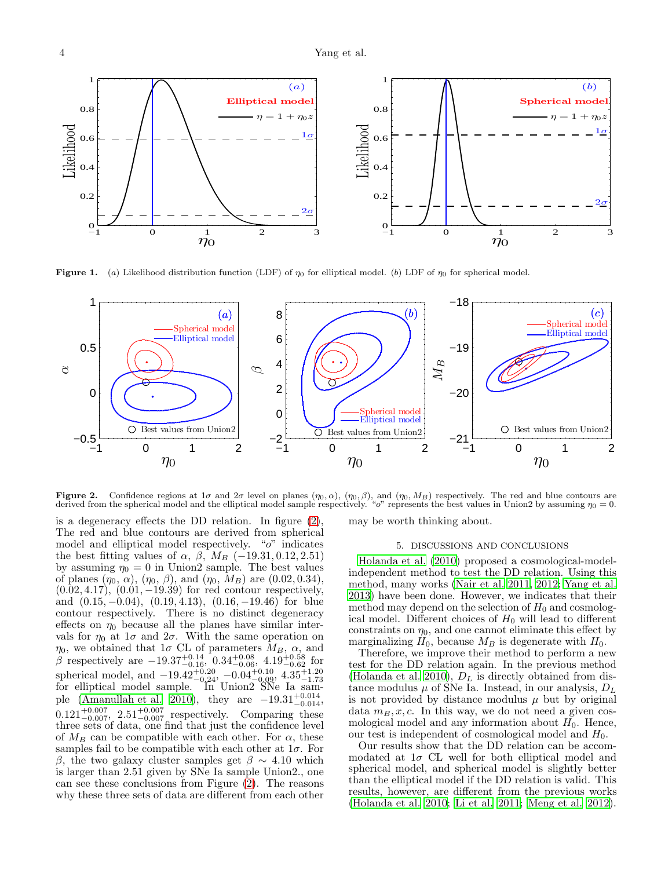

<span id="page-3-1"></span>**Figure 1.** (a) Likelihood distribution function (LDF) of  $\eta_0$  for elliptical model. (b) LDF of  $\eta_0$  for spherical model.



<span id="page-3-2"></span>Figure 2. Confidence regions at  $1\sigma$  and  $2\sigma$  level on planes  $(\eta_0, \alpha)$ ,  $(\eta_0, \beta)$ , and  $(\eta_0, M_B)$  respectively. The red and blue contours are derived from the spherical model and the elliptical model sample respectively. "o" represents the best values in Union2 by assuming  $\eta_0 = 0$ .

is a degeneracy effects the DD relation. In figure [\(2\)](#page-3-2), The red and blue contours are derived from spherical model and elliptical model respectively. "o" indicates the best fitting values of  $\alpha$ ,  $\beta$ ,  $M_B$  (-19.31, 0.12, 2.51) by assuming  $\eta_0 = 0$  in Union2 sample. The best values of planes  $(\eta_0, \alpha)$ ,  $(\eta_0, \beta)$ , and  $(\eta_0, M_B)$  are  $(0.02, 0.34)$ ,  $(0.02, 4.17), (0.01, -19.39)$  for red contour respectively, and  $(0.15, -0.04)$ ,  $(0.19, 4.13)$ ,  $(0.16, -19.46)$  for blue contour respectively. There is no distinct degeneracy effects on  $\eta_0$  because all the planes have similar intervals for  $\eta_0$  at  $1\sigma$  and  $2\sigma$ . With the same operation on  $\eta_0$ , we obtained that  $1\sigma$  CL of parameters  $M_B$ ,  $\alpha$ , and β respectively are  $-19.37_{-0.16}^{+0.14}$ ,  $0.34_{-0.06}^{+0.08}$ ,  $4.19_{-0.62}^{+0.58}$  for spherical model, and  $-19.42^{+0.20}_{-0.24}$ ,  $-0.04^{+0.10}_{-0.09}$ ,  $4.35^{+1.20}_{-1.73}$  for elliptical model sample. In Union2 SNe Ia sam-ple [\(Amanullah et al. 2010\)](#page-4-13), they are  $-19.31^{+0.014}_{-0.014}$ ,  $0.121^{+0.007}_{-0.007}$ ,  $2.51^{+0.007}_{-0.007}$  respectively. Comparing these three sets of data, one find that just the confidence level of  $M_B$  can be compatible with each other. For  $\alpha$ , these samples fail to be compatible with each other at  $1\sigma$ . For β, the two galaxy cluster samples get  $β \sim 4.10$  which is larger than 2.51 given by SNe Ia sample Union2., one can see these conclusions from Figure [\(2\)](#page-3-2). The reasons why these three sets of data are different from each other

may be worth thinking about.

## 5. DISCUSSIONS AND CONCLUSIONS

<span id="page-3-0"></span>[Holanda et al. \(2010\)](#page-4-3) proposed a cosmological-modelindependent method to test the DD relation. Using this method, many works [\(Nair et al. 2011,](#page-4-20) [2012;](#page-4-21) [Yang et al.](#page-4-22) [2013\)](#page-4-22) have been done. However, we indicates that their method may depend on the selection of  $H_0$  and cosmological model. Different choices of  $H_0$  will lead to different constraints on  $\eta_0$ , and one cannot eliminate this effect by marginalizing  $H_0$ , because  $M_B$  is degenerate with  $H_0$ .

Therefore, we improve their method to perform a new test for the DD relation again. In the previous method [\(Holanda et al. 2010\)](#page-4-3),  $D<sub>L</sub>$  is directly obtained from distance modulus  $\mu$  of SNe Ia. Instead, in our analysis,  $D_L$ is not provided by distance modulus  $\mu$  but by original data  $m_B, x, c$ . In this way, we do not need a given cosmological model and any information about  $H_0$ . Hence, our test is independent of cosmological model and  $H_0$ .

Our results show that the DD relation can be accommodated at  $1\sigma$  CL well for both elliptical model and spherical model, and spherical model is slightly better than the elliptical model if the DD relation is valid. This results, however, are different from the previous works [\(Holanda et al. 2010;](#page-4-3) [Li et al. 2011;](#page-4-9) [Meng et al. 2012](#page-4-10)).